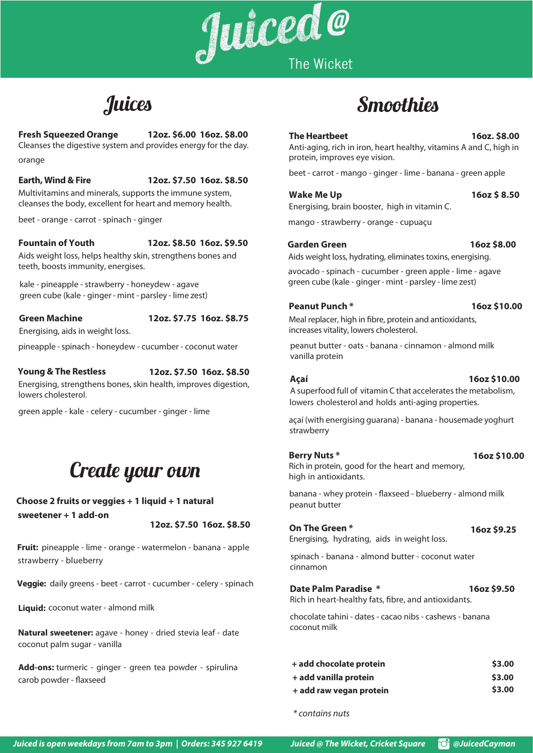## **The Heartbeet 16oz. \$8.00**

Anti-aging, rich in iron, heart healthy, vitamins A and C, high in protein, improves eye vision.

beet - carrot - mango - ginger - lime - banana - green apple

**Wake Me Up 16oz \$ 8.50** 

Energising, brain booster, high in vitamin C.

Meal replacer, high in fibre, protein and antioxidants, increases vitality, lowers cholesterol.

mango - strawberry - orange - cupuaçu

### **Garden Green 16oz \$8.00**

Aids weight loss, hydrating, eliminates toxins, energising.

avocado - spinach - cucumber - green apple - lime - agave green cube (kale - ginger - mint - parsley - lime zest)

# **Peanut Punch \* 16oz \$10.00**

peanut butter - oats - banana - cinnamon - almond milk vanilla protein

# **Choose 2 fruits or veggies + 1 liquid + 1 natural** *peanut butter* **sweetener + 1 add-on**

## **Earth, Wind & Fire 12oz. \$7.50 16oz. \$8.50**

Multivitamins and minerals, supports the immune system, cleanses the body, excellent for heart and memory health.

beet - orange - carrot - spinach - ginger

A superfood full of vitamin C that accelerates the metabolism, lowers cholesterol and holds anti-aging properties.

### **Fountain of Youth 12oz. \$8.50 16oz. \$9.50**

kale - pineapple - strawberry - honeydew - agave green cube (kale - ginger - mint - parsley - lime zest)

# **Green Machine 12oz. \$7.75 16oz. \$8.75**

Energising, aids in weight loss.

pineapple -spinach - honeydew - cucumber - coconut water 

**Add-ons:** turmeric - ginger - green tea powder - spirulina carob powder - flaxseed

## **Young & The Restless**

| + add chocolate protein | \$3.00 |
|-------------------------|--------|
| + add vanilla protein   | \$3.00 |
| + add raw vegan protein | \$3.00 |

### **12oz. \$7.50 16oz. \$8.50**

# **Fresh Squeezed Orange 12oz. \$6.00 16oz. \$8.00** Cleanses the digestive system and provides energy for the day. orange

Energising, strengthens bones, skin health, improves digestion, lowers cholesterol.

green apple - kale - celery - cucumber - ginger - lime

*\* contains nuts*

Juiced is open weekdays from 7am to 3pm | Orders: 345 927 6419 Juiced @ The Wicket, Cricket Square **@**JuicedCayman



Aids weight loss, helps healthy skin, strengthens bones and teeth, boosts immunity, energises.

## **Berry Nuts \***

# Create your own

Rich in protein, good for the heart and memory, high in antioxidants.

banana - whey protein - flaxseed - blueberry - almond milk

 **16oz \$10.00**

**12oz. \$7.50 16oz. \$8.50**

#### **Açaí 16oz \$10.00**

açaí (with energising guarana) - banana - housemade yoghurt strawberry

# **On The Green \* 16oz \$9.25**

**Veggie:**  daily greens - beet - carrot - cucumber - celery - spinach

Energising, hydrating, aids in weight loss.

spinach - banana - almond butter - coconut water cinnamon

**Fruit:** pineapple - lime - orange - watermelon - banana - apple strawberry - blueberry

# Juices Smoothies

# **Date Palm Paradise \* 16oz \$9.50**

Rich in heart-healthy fats, fibre, and antioxidants.

chocolate tahini - dates - cacao nibs - cashews - banana coconut milk

**Liquid:** coconut water - almond milk

**Natural sweetener:** agave - honey - dried stevia leaf - date coconut palm sugar - vanilla